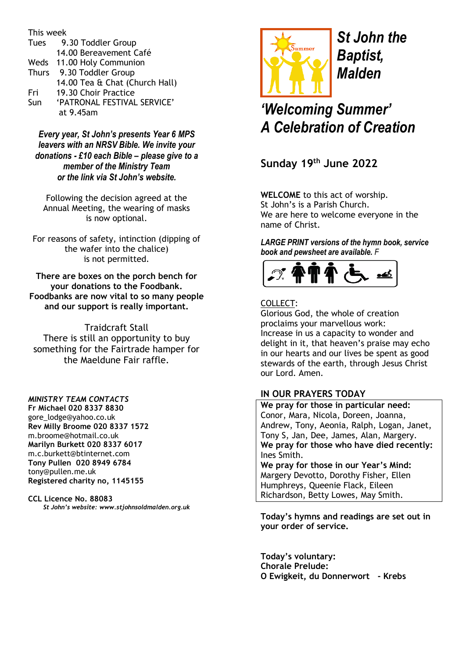This week

| Tues         | 9.30 Toddler Group             |
|--------------|--------------------------------|
|              | 14.00 Bereavement Café         |
|              | Weds 11.00 Holy Communion      |
| <b>Thurs</b> | 9.30 Toddler Group             |
|              | 14.00 Tea & Chat (Church Hall) |
| Fri          | 19.30 Choir Practice           |
| Sun          | 'PATRONAL FESTIVAL SERVICE'    |
|              | at 9.45am                      |

*Every year, St John's presents Year 6 MPS leavers with an NRSV Bible. We invite your donations - £10 each Bible – please give to a member of the Ministry Team or the link via St John's website.*

Following the decision agreed at the Annual Meeting, the wearing of masks is now optional.

For reasons of safety, intinction (dipping of the wafer into the chalice) is not permitted.

**There are boxes on the porch bench for your donations to the Foodbank. Foodbanks are now vital to so many people and our support is really important.**

Traidcraft Stall There is still an opportunity to buy something for the Fairtrade hamper for the Maeldune Fair raffle.

*MINISTRY TEAM CONTACTS* **Fr Michael 020 8337 8830** [gore\\_lodge@yahoo.co.uk](mailto:gore_lodge@yahoo.co.uk) **Rev Milly Broome 020 8337 1572** [m.broome@hotmail.co.uk](mailto:m.broome@hotmail.co.uk) **Marilyn Burkett 020 8337 6017** [m.c.burkett@btinternet.com](mailto:m.c.burkett@btinternet.com) **Tony Pullen 020 8949 6784** [tony@pullen.me.uk](mailto:tony@pullen.me.uk) **Registered charity no, 1145155**

**CCL Licence No. 88083** *St John's website: [www.stjohnsoldmalden.org.uk](http://www.stjohnsoldmalden.org.uk/)*



*St John the Baptist, Malden*

*'Welcoming Summer' A Celebration of Creation*

**Sunday 19 th June 2022**

**WELCOME** to this act of worship. St John's is a Parish Church. We are here to welcome everyone in the name of Christ.

*LARGE PRINT versions of the hymn book, service book and pewsheet are available. F* 



# COLLECT:

Glorious God, the whole of creation proclaims your marvellous work: Increase in us a capacity to wonder and delight in it, that heaven's praise may echo in our hearts and our lives be spent as good stewards of the earth, through Jesus Christ our Lord. Amen.

# **IN OUR PRAYERS TODAY**

**We pray for those in particular need:** Conor, Mara, Nicola, Doreen, Joanna, Andrew, Tony, Aeonia, Ralph, Logan, Janet, Tony S, Jan, Dee, James, Alan, Margery. **We pray for those who have died recently:** Ines Smith.

**We pray for those in our Year's Mind:** Margery Devotto, Dorothy Fisher, Ellen Humphreys, Queenie Flack, Eileen Richardson, Betty Lowes, May Smith.

**Today's hymns and readings are set out in your order of service.** 

**Today's voluntary: Chorale Prelude: O Ewigkeit, du Donnerwort - Krebs**